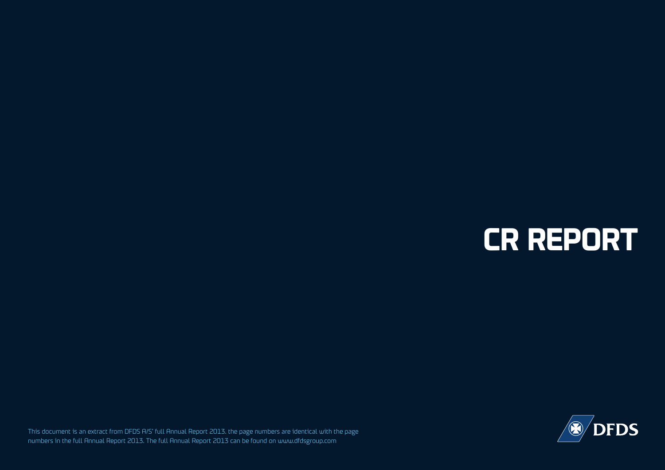# **CR REPORT**

This document is an extract from DFDS A/S' full Annual Report 2013. the page numbers are identical with the page numbers in the full Annual Report 2013. The full Annual Report 2013 can be found on www.dfdsgroup.com

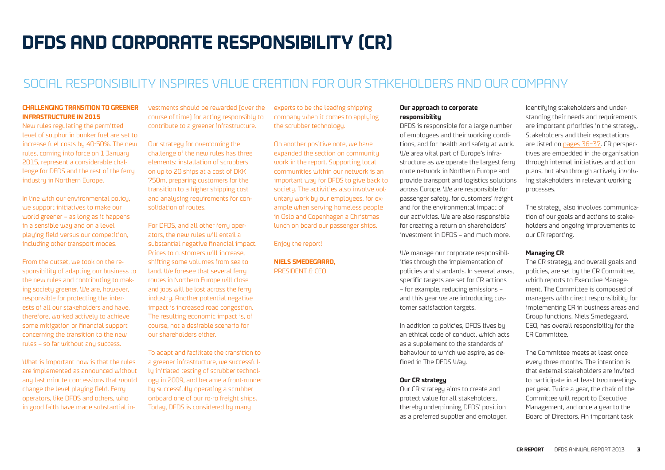## **DFDS AND CORPORATE RESPONSIBILITY (CR)**

## SOCIAL RESPONSIBILITY INSPIRES VALUE CREATION FOR OUR STAKEHOLDERS AND OUR COMPANY

#### **CHALLENGING TRANSITION TO GREENER INFRASTRUCTURE IN 2015**

New rules regulating the permitted level of sulphur in bunker fuel are set to increase fuel costs by 40-50%. The new rules, coming into force on 1 January 2015, represent a considerable challenge for DFDS and the rest of the ferry industry in Northern Europe.

In line with our environmental policy, we support initiatives to make our world greener – as long as it happens in a sensible way and on a level playing field versus our competition, including other transport modes.

From the outset, we took on the responsibility of adapting our business to the new rules and contributing to making society greener. We are, however, responsible for protecting the interests of all our stakeholders and have, therefore, worked actively to achieve some mitigation or financial support concerning the transition to the new rules – so far without any success.

What is important now is that the rules are implemented as announced without any last minute concessions that would change the level playing field. Ferry operators, like DFDS and others, who in good faith have made substantial investments should be rewarded (over the course of time) for acting responsibly to contribute to a greener infrastructure.

Our strategy for overcoming the challenge of the new rules has three elements: installation of scrubbers on up to 20 ships at a cost of DKK 750m, preparing customers for the transition to a higher shipping cost and analysing requirements for consolidation of routes.

For DFDS, and all other ferry operators, the new rules will entail a substantial negative financial impact. Prices to customers will increase, shifting some volumes from sea to land. We foresee that several ferry routes in Northern Europe will close and jobs will be lost across the ferry industry. Another potential negative impact is increased road congestion. The resulting economic impact is, of course, not a desirable scenario for our shareholders either.

To adapt and facilitate the transition to a greener infrastructure, we successfully initiated testing of scrubber technology in 2009, and became a front-runner by successfully operating a scrubber onboard one of our ro-ro freight ships. Today, DFDS is considered by many

experts to be the leading shipping company when it comes to applying the scrubber technology.

On another positive note, we have expanded the section on community work in the report. Supporting local communities within our network is an important way for DFDS to give back to society. The activities also involve voluntary work by our employees, for example when serving homeless people in Oslo and Copenhagen a Christmas lunch on board our passenger ships.

Enjoy the report!

#### **NIELS SMEDEGAARD,**  PRESIDENT & CEO

#### **Our approach to corporate responsibility**

DFDS is responsible for a large number of employees and their working conditions, and for health and safety at work. We area vital part of Europe's infrastructure as we operate the largest ferry route network in Northern Europe and provide transport and logistics solutions across Europe. We are responsible for passenger safety, for customers' freight and for the environmental impact of our activities. We are also responsible for creating a return on shareholders' investment in DFDS – and much more.

We manage our corporate responsibilities through the implementation of policies and standards. In several areas, specific targets are set for CR actions – for example, reducing emissions – and this year we are introducing customer satisfaction targets.

In addition to policies, DFDS lives by an ethical code of conduct, which acts as a supplement to the standards of behaviour to which we aspire, as defined in The DFDS Way.

#### **Our CR strategy**

Our CR strategy aims to create and protect value for all stakeholders, thereby underpinning DFDS' position as a preferred supplier and employer.

Identifying stakeholders and understanding their needs and requirements are important priorities in the strategy. Stakeholders and their expectations are listed on pages 36–37. CR perspectives are embedded in the organisation through internal initiatives and action plans, but also through actively involving stakeholders in relevant working processes.

The strategy also involves communication of our goals and actions to stakeholders and ongoing improvements to our CR reporting.

#### **Managing CR**

The CR strategy, and overall goals and policies, are set by the CR Committee, which reports to Executive Management. The Committee is composed of managers with direct responsibility for implementing CR in business areas and Group functions. Niels Smedegaard, CEO, has overall responsibility for the CR Committee.

The Committee meets at least once every three months. The intention is that external stakeholders are invited to participate in at least two meetings per year. Twice a year, the chair of the Committee will report to Executive Management, and once a year to the Board of Directors. An important task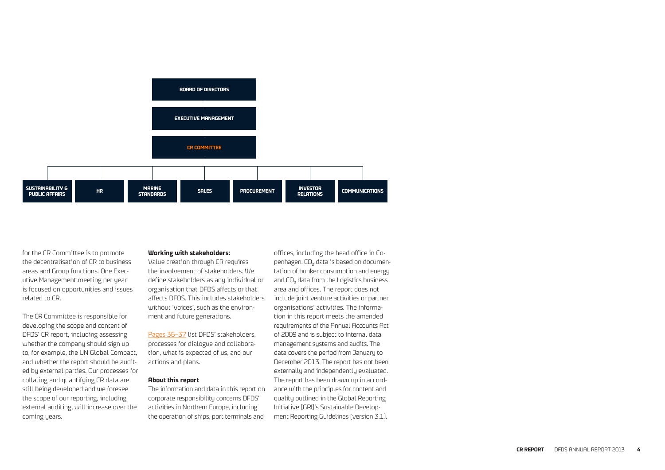

for the CR Committee is to promote the decentralisation of CR to business areas and Group functions. One Executive Management meeting per year is focused on opportunities and issues related to CR.

The CR Committee is responsible for developing the scope and content of DFDS' CR report, including assessing whether the company should sign up to, for example, the UN Global Compact, and whether the report should be audited by external parties. Our processes for collating and quantifying CR data are still being developed and we foresee the scope of our reporting, including external auditing, will increase over the coming years.

#### **Working with stakeholders:**

Value creation through CR requires the involvement of stakeholders. We define stakeholders as any individual or organisation that DFDS affects or that affects DFDS. This includes stakeholders without 'voices', such as the environment and future generations.

Pages 36–37 list DFDS' stakeholders, processes for dialogue and collaboration, what is expected of us, and our actions and plans.

#### **About this report**

The information and data in this report on corporate responsibility concerns DFDS' activities in Northern Europe, including the operation of ships, port terminals and

offices, including the head office in Copenhagen. CO<sub>2</sub> data is based on documentation of bunker consumption and energy and CO<sub>2</sub> data from the Logistics business area and offices. The report does not include joint venture activities or partner organisations' activities. The information in this report meets the amended requirements of the Annual Accounts Act of 2009 and is subject to internal data management systems and audits. The data covers the period from January to December 2013. The report has not been externally and independently evaluated. The report has been drawn up in accordance with the principles for content and quality outlined in the Global Reporting Initiative (GRI)'s Sustainable Development Reporting Guidelines (version 3.1).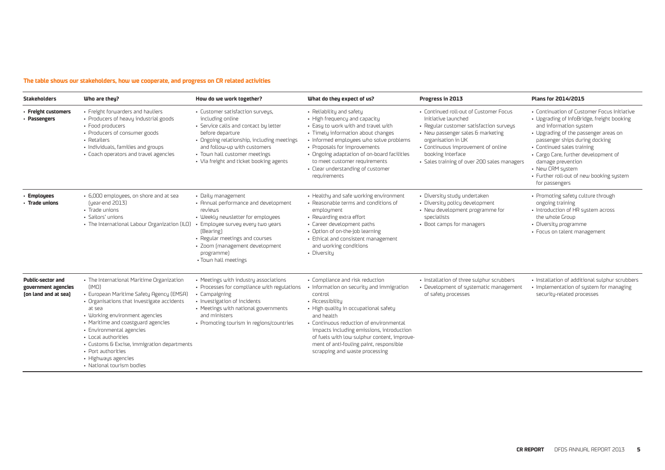#### **The table shows our stakeholders, how we cooperate, and progress on CR related activities**

| <b>Stakeholders</b>                                                     | Who are they?                                                                                                                                                                                                                                                                                                                                                                                              | How do we work together?                                                                                                                                                                                                                                                    | What do they expect of us?                                                                                                                                                                                                                                                                                                                                                            | Progress in 2013                                                                                                                                                                                                                                                              | Plans for 2014/2015                                                                                                                                                                                                                                                                                                                                                         |
|-------------------------------------------------------------------------|------------------------------------------------------------------------------------------------------------------------------------------------------------------------------------------------------------------------------------------------------------------------------------------------------------------------------------------------------------------------------------------------------------|-----------------------------------------------------------------------------------------------------------------------------------------------------------------------------------------------------------------------------------------------------------------------------|---------------------------------------------------------------------------------------------------------------------------------------------------------------------------------------------------------------------------------------------------------------------------------------------------------------------------------------------------------------------------------------|-------------------------------------------------------------------------------------------------------------------------------------------------------------------------------------------------------------------------------------------------------------------------------|-----------------------------------------------------------------------------------------------------------------------------------------------------------------------------------------------------------------------------------------------------------------------------------------------------------------------------------------------------------------------------|
| - Freight customers<br>- Passengers                                     | • Freight forwarders and hauliers<br>• Producers of heavy industrial goods<br>• Food producers<br>• Producers of consumer goods<br>• Retailers<br>· Individuals, families and groups<br>· Coach operators and travel agencies                                                                                                                                                                              | · Customer satisfaction surveys,<br>including online<br>· Service calls and contact by letter<br>before departure<br>· Ongoing relationship, including meetings<br>and follow-up with customers<br>· Town hall customer meetings<br>• Via freight and ticket booking agents | • Reliability and safety<br>• High frequency and capacity<br>· Easy to work with and travel with<br>· Timely information about changes<br>• Informed employees who solve problems<br>· Proposals for improvements<br>• Ongoing adaptation of on-board facilities<br>to meet customer requirements<br>· Clear understanding of customer<br>requirements                                | • Continued roll-out of Customer Focus<br>Initiative launched<br>• Regular customer satisfaction surveys<br>• New passenger sales & marketing<br>organisation in UK<br>• Continuous improvement of online<br>booking interface<br>· Sales training of over 200 sales managers | • Continuation of Customer Focus Initiative<br>• Upgrading of InfoBridge, freight booking<br>and information system<br>• Upgrading of the passenger areas on<br>passenger ships during docking<br>• Continued sales training<br>· Cargo Care, further development of<br>damage prevention<br>• New CRM system<br>• Further roll-out of new booking system<br>for passengers |
| - Employees<br>· Trade unions                                           | • 6,000 employees, on shore and at sea<br>fuear-end 2013)<br>• Trade unions<br>• Sailors' unions<br>· The International Labour Organization (ILO)                                                                                                                                                                                                                                                          | · Daily management<br>• Annual performance and development<br>reviews<br>• Weekly newsletter for employees<br>Employee survey every two years<br>(Bearing)<br>· Regular meetings and courses<br>· Zoom (management development<br>programme)<br>. Town hall meetings        | • Healthy and safe working environment<br>· Reasonable terms and conditions of<br>employment<br>• Rewarding extra effort<br>· Career development paths<br>• Option of on-the-job learning<br>· Ethical and consistent management<br>and working conditions<br>· Diversity                                                                                                             | · Diversity study undertaken<br>• Diversity policy development<br>• New development programme for<br>specialists<br>• Boot camps for managers                                                                                                                                 | • Promoting safety culture through<br>ongoing training<br>• Introduction of HR system across<br>the whole Group<br>· Diversity programme<br>· Focus on talent management                                                                                                                                                                                                    |
| <b>Public-sector and</b><br>government agencies<br>(on land and at sea) | • The International Maritime Organization<br>(IMO)<br>· European Maritime Safety Agency (EMSA)<br>• Organisations that investigate accidents<br>at sea<br>· Working environment agencies<br>• Maritime and coastguard agencies<br>· Environmental agencies<br>• Local authorities<br>· Customs & Excise, immigration departments<br>· Port authorities<br>· Highways agencies<br>• National tourism bodies | • Meetings with industry associations<br>• Processes for compliance with regulations<br>• Campaigning<br>· Investigation of incidents<br>• Meetings with national governments<br>and ministers<br>• Promoting tourism in regions/countries                                  | • Compliance and risk reduction<br>· Information on security and immigration<br>control<br>• Accessibility<br>· High quality in occupational safety<br>and health<br>· Continuous reduction of environmental<br>impacts including emissions, introduction<br>of fuels with low sulphur content, improve-<br>ment of anti-fouling paint, responsible<br>scrapping and waste processing | · Installation of three sulphur scrubbers<br>· Development of systematic management<br>of safety processes                                                                                                                                                                    | · Installation of additional sulphur scrubbers<br>• Implementation of system for managing<br>security-related processes                                                                                                                                                                                                                                                     |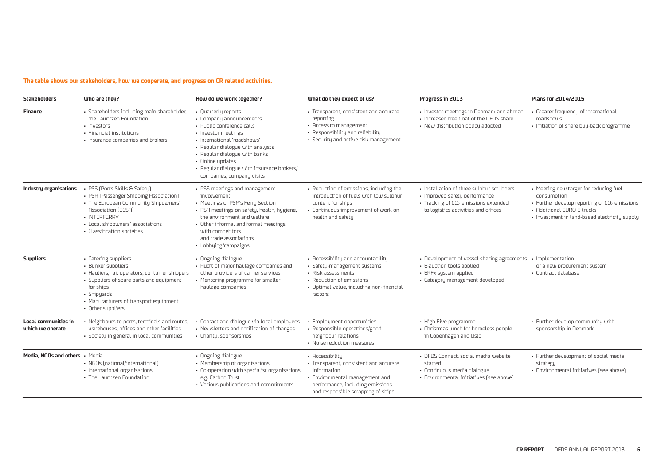#### **The table shows our stakeholders, how we cooperate, and progress on CR related activities.**

| <b>Stakeholders</b>                             | Who are they?                                                                                                                                                                                                                       | How do we work together?                                                                                                                                                                                                                                                                               | What do they expect of us?                                                                                                                                                           | Progress in 2013                                                                                                                                                      | Plans for 2014/2015                                                                                                                                                                              |
|-------------------------------------------------|-------------------------------------------------------------------------------------------------------------------------------------------------------------------------------------------------------------------------------------|--------------------------------------------------------------------------------------------------------------------------------------------------------------------------------------------------------------------------------------------------------------------------------------------------------|--------------------------------------------------------------------------------------------------------------------------------------------------------------------------------------|-----------------------------------------------------------------------------------------------------------------------------------------------------------------------|--------------------------------------------------------------------------------------------------------------------------------------------------------------------------------------------------|
| <b>Finance</b>                                  | · Shareholders including main shareholder,<br>the Lauritzen Foundation<br>· Investors<br>• Financial institutions<br>· Insurance companies and brokers                                                                              | • Quarterly reports<br>• Company announcements<br>• Public conference calls<br>· Investor meetings<br>· International 'roadshours'<br>· Regular dialogue with analysts<br>• Regular dialogue with banks<br>• Online updates<br>- Regular dialogue with insurance brokers/<br>companies, company visits | • Transparent, consistent and accurate<br>reporting<br>• Access to management<br>• Responsibility and reliability<br>· Security and active risk management                           | · Investor meetings in Denmark and abroad<br>. Increased free float of the DFDS share<br>• New distribution policy adopted                                            | • Greater frequency of international<br>roadshows<br>· Initiation of share buy-back programme                                                                                                    |
| Industry organisations                          | · PSS (Ports Skills & Safety)<br>• PSA (Passenger Shipping Association)<br>• The European Community Shipowners'<br><b>Association (ECSA)</b><br>• INTERFERRY<br>· Local shipowners' associations<br>• Classification societies      | · PSS meetings and management<br>involvement<br>• Meetings of PSA's Ferry Section<br>· PSA meetings on safety, health, hygiene,<br>the environment and welfare<br>• Other informal and formal meetings<br>with competitors<br>and trade associations<br>· Lobbying/campaigns                           | · Reduction of emissions, including the<br>introduction of fuels with low sulphur<br>content for ships<br>• Continuous improvement of work on<br>health and safety                   | · Installation of three sulphur scrubbers<br>· Improved safety performance<br>· Tracking of CO <sub>2</sub> emissions extended<br>to logistics activities and offices | • Meeting new target for reducing fuel<br>consumption<br>• Further develop reporting of CO <sub>2</sub> emissions<br>• Additional EURO 5 trucks<br>• Investment in land-based electricity supply |
| <b>Suppliers</b>                                | • Catering suppliers<br>· Bunker suppliers<br>· Hauliers, rail operators, container shippers<br>• Suppliers of spare parts and equipment<br>for ships<br>· Shipyards<br>• Manufacturers of transport equipment<br>• Other suppliers | • Ongoing dialogue<br>• Audit of major haulage companies and<br>other providers of carrier services<br>• Mentoring programme for smaller<br>haulage companies                                                                                                                                          | • Accessibility and accountability<br>· Safety-management systems<br>· Risk assessments<br>• Reduction of emissions<br>• Optimal value, including non-financial<br>factors           | · Development of vessel sharing agreements<br>• E-auction tools applied<br>• ERFx system applied<br>· Category management developed                                   | · Implementation<br>of a new procurement system<br>· Contract database                                                                                                                           |
| <b>Local communities in</b><br>which we operate | · Neighbours to ports, terminals and routes,<br>warehouses, offices and other facilities<br>· Society in general in local communities                                                                                               | · Contact and dialogue via local employees<br>• Newsletters and notification of changes<br>• Charity, sponsorships                                                                                                                                                                                     | • Employment opportunities<br>• Responsible operations/good<br>neighbour relations<br>• Noise reduction measures                                                                     | · High Five programme<br>• Christmas lunch for homeless people<br>in Copenhagen and Oslo                                                                              | • Further develop community with<br>sponsorship in Denmark                                                                                                                                       |
| Media. NGOs and others · Media                  | • NGOs (national/international)<br>· International organisations<br>• The Lauritzen Foundation                                                                                                                                      | • Ongoing dialogue<br>• Membership of organisations<br>· Co-operation with specialist organisations,<br>e.g. Carbon Trust<br>• Various publications and commitments                                                                                                                                    | • Accessibility<br>· Transparent, consistent and accurate<br>information<br>· Environmental management and<br>performance, including emissions<br>and responsible scrapping of ships | · DFDS Connect, social media website<br>started<br>· Continuous media dialogue<br>· Environmental initiatives (see above)                                             | · Further development of social media<br>strategy<br>· Environmental initiatives (see above)                                                                                                     |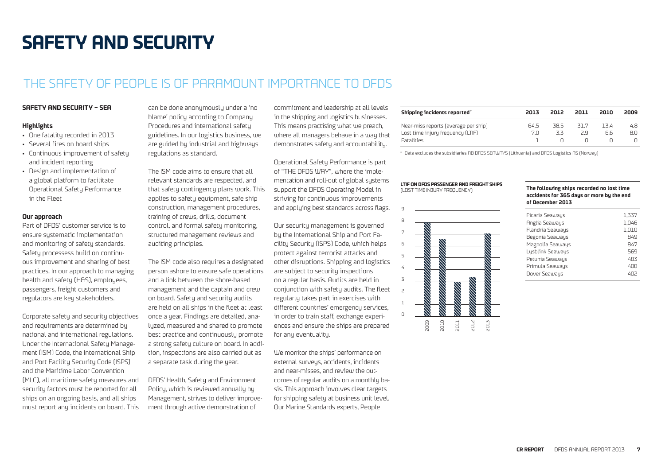## **SAFETY AND SECURITY**

### THE SAFETY OF PEOPLE IS OF PARAMOUNT IMPORTANCE TO DEDS

#### **SAFETY AND SECURITY – SEA**

#### **Highlights**

- One fatality recorded in 2013
- Several fires on board ships
- Continuous improvement of safety and incident reporting
- Design and implementation of a global platform to facilitate Operational Safety Performance in the Fleet

#### **Our approach**

Part of DFDS' customer service is to ensure systematic implementation and monitoring of safety standards. Safety processess build on continuous improvement and sharing of best practices. In our approach to managing health and safety (H&S), employees, passengers, freight customers and regulators are key stakeholders.

Corporate safety and security objectives and requirements are determined by national and international regulations. Under the International Safety Management (ISM) Code, the International Ship and Port Facility Security Code (ISPS) and the Maritime Labor Convention (MLC), all maritime safety measures and security factors must be reported for all ships on an ongoing basis, and all ships must report any incidents on board. This can be done anonymously under a 'no blame' policy according to Company Procedures and international safety guidelines. In our logistics business, we are guided by industrial and highways regulations as standard.

The ISM code aims to ensure that all relevant standards are respected, and that safety contingency plans work. This applies to safety equipment, safe ship construction, management procedures, training of crews, drills, document control, and formal safety monitoring, structured management reviews and auditing principles.

The ISM code also requires a designated person ashore to ensure safe operations and a link between the shore-based management and the captain and crew on board. Safety and security audits are held on all ships in the fleet at least once a year. Findings are detailed, analyzed, measured and shared to promote best practice and continuously promote a strong safety culture on board. In addition, inspections are also carried out as a separate task during the year.

DFDS' Health, Safety and Environment Policy, which is reviewed annually by Management, strives to deliver improvement through active demonstration of

commitment and leadership at all levels in the shipping and logistics businesses. This means practising what we preach, where all managers behave in a way that demonstrates safety and accountability.

Operational Safety Performance is part of "THE DFDS WAY", where the implementation and roll-out of global systems support the DFDS Operating Model in striving for continuous improvements and applying best standards across flags.

Our security management is governed by the International Ship and Port Facility Security (ISPS) Code, which helps protect against terrorist attacks and other disruptions. Shipping and logistics are subject to security inspections on a regular basis. Audits are held in conjunction with safety audits. The fleet regularly takes part in exercises with different countries' emergency services, in order to train staff, exchange experiences and ensure the ships are prepared for any eventuality.

We monitor the ships' performance on external surveus, accidents, incidents and near-misses, and review the outcomes of regular audits on a monthly basis. This approach involves clear targets for shipping safety at business unit level. Our Marine Standards experts, People

| Shipping incidents reported'                                                                   | 2013        | 2012       | 2011       | 2010       | 2009       |
|------------------------------------------------------------------------------------------------|-------------|------------|------------|------------|------------|
| Near-miss reports (average per ship)<br>Lost time injury frequency (LTIF)<br><b>Fatalities</b> | 64.5<br>7 N | 38 5<br>スス | 317<br>2 q | 134<br>6.6 | 4.8<br>8.O |

\* Data excludes the subsidiaries AB DFDS SEAWAYS (Lithuania) and DFDS Logistics AS (Norway)

#### **LTIF ON DFDS PASSENGER AND FREIGHT SHIPS** (LOST TIME INJURY FREQUENCY)



#### **The following ships recorded no lost time accidents for 365 days or more by the end of December 2013**

| Ficaria Seaways  | 1.337 |
|------------------|-------|
| Anglia Seaways   | 1.046 |
| Flandria Seawaus | 1,010 |
| Begonia Seaways  | 849   |
| Magnolia Seaways | 847   |
| Lysblink Seaways | 569   |
| Petunia Seaways  | 483   |
| Primula Seaways  | 408   |
| Dover Seaways    | 402   |
|                  |       |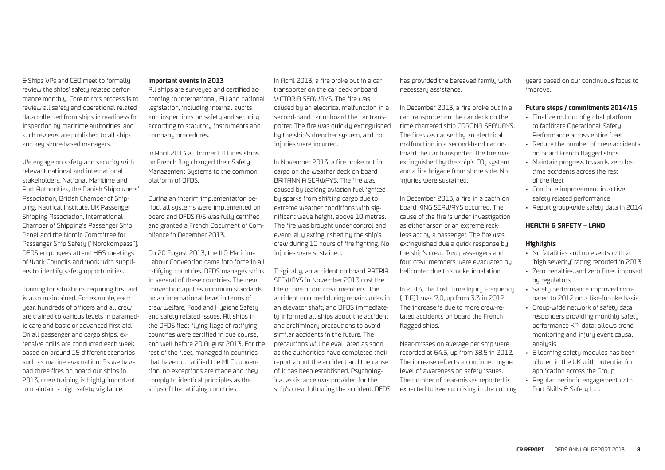& Ships VPs and CEO meet to formally review the ships' safety related performance monthly. Core to this process is to review all safety and operational related data collected from ships in readiness for inspection by maritime authorities, and such reviews are published to all ships and key shore-based managers.

We engage on safety and security with relevant national and international stakeholders, National Maritime and Port Authorities, the Danish Shipowners' Association, British Chamber of Shipping, Nautical Institute, UK Passenger Shipping Association, International Chamber of Shipping's Passenger Ship Panel and the Nordic Committee for Passenger Ship Safety ("Nordkompass"). DFDS employees attend H&S meetings of Work Councils and work with suppliers to identify safety opportunities.

Training for situations requiring first aid is also maintained. For example, each year, hundreds of officers and all crew are trained to various levels in paramedic care and basic or advanced first aid. On all passenger and cargo ships, extensive drills are conducted each week based on around 15 different scenarios such as marine evacuation. As we have had three fires on board our ships in 2013, crew training is highly important to maintain a high safety vigilance.

#### **Important events in 2013**

All ships are surveyed and certified according to international, EU and national legislation, including internal audits and inspections on safety and security according to statutory instruments and company procedures.

In April 2013 all former LD Lines ships on French flag changed their Safety Management Systems to the common platform of DFDS.

During an interim implementation period, all systems were implemented on board and DFDS A/S was fully certified and granted a French Document of Compliance in December 2013.

On 20 August 2013, the ILO Maritime Labour Convention came into force in all ratifying countries. DFDS manages ships in several of these countries. The new convention applies minimum standards on an international level in terms of crew welfare, Food and Hygiene Safety and safety related issues. All ships in the DFDS fleet flying flags of ratifying countries were certified in due course, and well before 20 August 2013. For the rest of the fleet, managed in countries that have not ratified the MLC convention, no exceptions are made and they comply to identical principles as the ships of the ratifying countries.

In April 2013, a fire broke out in a car transporter on the car deck onboard VICTORIA SEAWAYS. The fire was caused by an electrical malfunction in a second-hand car onboard the car transporter. The fire was quickly extinguished by the ship's drencher system, and no injuries were incurred.

In November 2013, a fire broke out in cargo on the weather deck on board BRITANNIA SEAWAYS. The fire was caused by leaking aviation fuel ignited by sparks from shifting cargo due to extreme weather conditions with significant wave height, above 10 metres. The fire was brought under control and eventually extinguished by the ship's crew during 10 hours of fire fighting. No injuries were sustained.

Tragically, an accident on board PATRIA SEAWAYS in November 2013 cost the life of one of our crew members. The accident occurred during repair works in an elevator shaft, and DFDS immediately informed all ships about the accident and preliminary precautions to avoid similar accidents in the future. The precautions will be evaluated as soon as the authorities have completed their report about the accident and the cause of it has been established. Psychological assistance was provided for the ship's crew following the accident. DFDS has provided the bereaved family with necessary assistance.

In December 2013, a fire broke out in a car transporter on the car deck on the time chartered ship CORONA SEAWAYS. The fire was caused by an electrical malfunction in a second-hand car onboard the car transporter. The fire was extinguished by the ship's  $CO<sub>2</sub>$  system and a fire brigade from shore side. No injuries were sustained.

In December 2013, a fire in a cabin on board KING SEAWAYS occurred. The cause of the fire is under investigation as either arson or an extreme reckless act by a passenger. The fire was extinguished due a quick response by the ship's crew. Two passengers and four crew members were evacuated by helicopter due to smoke inhalation.

In 2013, the Lost Time Injury Frequency (LTIF)1 was 7.0, up from 3.3 in 2012. The increase is due to more crew-related accidents on board the French flagged ships.

Near-misses on average per ship were recorded at 64.5, up from 38.5 in 2012. The increase reflects a continued higher level of awareness on safety issues. The number of near-misses reported is expected to keep on rising in the coming years based on our continuous focus to improve.

#### **Future steps / commitments 2014/15**

- Finalize roll out of global platform to facilitate Operational Safety Performance across entire fleet
- Reduce the number of crew accidents on board French flagged ships
- Maintain progress towards zero lost time accidents across the rest of the fleet
- Continue improvement in active safety related performance
- Report group-wide safety data in 2014

#### **HEALTH & SAFETY – LAND**

#### **Highlights**

- No fatalities and no events with a 'high severity' rating recorded in 2013
- Zero penalties and zero fines imposed by regulators
- Safety performance improved compared to 2012 on a like-for-like basis
- Group-wide network of safety data responders providing monthly safety performance KPI data; allows trend monitoring and injury event causal analysis
- E-learning safety modules has been piloted in the UK with potential for application across the Group
- Regular, periodic engagement with Port Skills & Safety Ltd.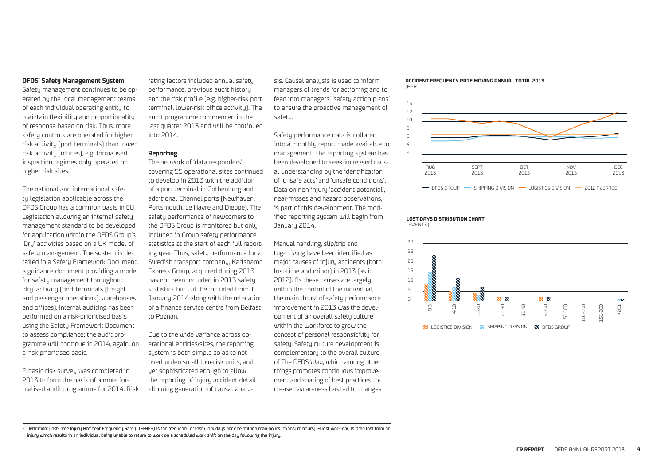#### **DFDS' Safety Management System**

Safety management continues to be operated by the local management teams of each individual operating entity to maintain flexibility and proportionality of response based on risk. Thus, more safety controls are operated for higher risk activity (port terminals) than lower risk activity (offices), e.g. formalised inspection regimes only operated on higher risk sites.

The national and international safety legislation applicable across the DFDS Group has a common basis in EU Legislation allowing an internal safety management standard to be developed for application within the DFDS Group's 'Dry' activities based on a UK model of safety management. The system is detailed in a Safety Framework Document, a guidance document providing a model for safety management throughout 'dry' activity (port terminals [freight and passenger operations], warehouses and offices). Internal auditing has been performed on a risk-prioritised basis using the Safety Framework Document to assess compliance; the audit programme will continue in 2014, again, on a risk-prioritised basis.

A basic risk survey was completed in 2013 to form the basis of a more formalised audit programme for 2014. Risk rating factors included annual safety performance, previous audit history and the risk profile (e.g. higher-risk port terminal, lower-risk office activity). The audit programme commenced in the last quarter 2013 and will be continued into 2014.

#### **Reporting**

The network of 'data responders' covering 55 operational sites continued to develop in 2013 with the addition of a port terminal in Gothenburg and additional Channel ports (Newhaven, Portsmouth, Le Havre and Dieppe). The safety performance of newcomers to the DFDS Group is monitored but only included in Group safety performance statistics at the start of each full reporting year. Thus, safety performance for a Swedish transport company, Karlshamn Express Group, acquired during 2013 has not been included in 2013 safety statistics but will be included from 1 January 2014 along with the relocation of a finance service centre from Belfast to Poznan.

Due to the wide variance across operational entities/sites, the reporting system is both simple so as to not overburden small low-risk units, and yet sophisticated enough to allow the reporting of injury accident detail allowing generation of causal analysis. Causal analysis is used to inform managers of trends for actioning and to feed into managers' 'safety action plans' to ensure the proactive management of safetu.

Safety performance data is collated into a monthly report made available to management. The reporting system has been developed to seek increased causal understanding by the identification of 'unsafe acts' and 'unsafe conditions'. Data on non-injury 'accident potential', near-misses and hazard observations, is part of this development. The modified reporting system will begin from January 2014.

Manual handling, slip/trip and tug-driving have been identified as major causes of injury accidents (both lost-time and minor) in 2013 (as in 2012). As these causes are largely within the control of the individual, the main thrust of safety performance improvement in 2013 was the development of an overall safety culture within the workforce to grow the concept of personal responsibility for safety. Safety culture development is complementary to the overall culture of The DFDS Way, which among other things promotes continuous improvement and sharing of best practices. Increased awareness has led to changes





- DFDS GROUP - SHIPPING DIVISION - LOGISTICS DIVISION - 2012 AVERAGE

#### **LOST-DAYS DISTRIBUTION CHART**

(EVENTS)



 $^1$  Definition: Lost-Time Injury Accident Frequency Rate (LTA-AFR) is the frequency of lost work days per one million man-hours (exposure hours). A lost work-day is time lost from an injury which results in an individual being unable to return to work on a scheduled work shift on the day following the injury.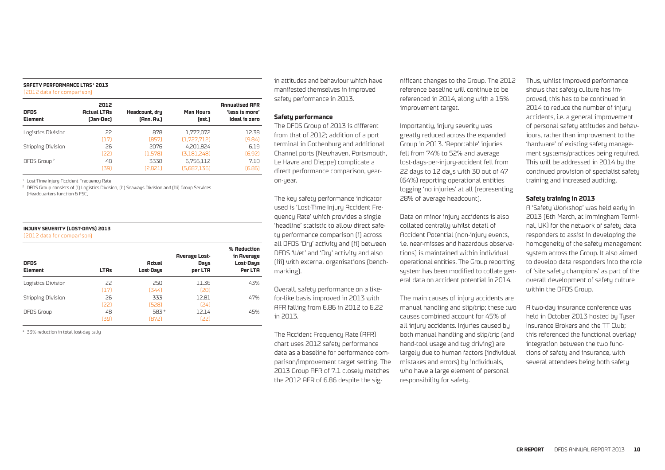#### **SAFETY PERFORMANCE LTAS 1 2013**

(2012 data for comparison)

| <b>DFDS</b><br><b>Element</b> | 2012<br><b>Actual LTAs</b><br>(Jan-Dec) | Headcount, dry<br>[Ann. Av.] | <b>Man Hours</b><br>(est.) | <b>Annualised AFR</b><br>'less is more'<br>Ideal is zero |
|-------------------------------|-----------------------------------------|------------------------------|----------------------------|----------------------------------------------------------|
| Logistics Division            | 22                                      | 878                          | 1,777,072                  | 12.38                                                    |
|                               | (17)                                    | (857)                        | (1.727.712)                | (9.84)                                                   |
| <b>Shipping Division</b>      | 26                                      | 2076                         | 4.201.824                  | 6.19                                                     |
|                               | [22]                                    | (1.578)                      | (3.181.248)                | (6.92)                                                   |
| DFDS Group <sup>2</sup>       | 48                                      | 3338                         | 6,756,112                  | 7.10                                                     |
|                               | [39]                                    | [2.821]                      | (5.687.136)                | (6.86)                                                   |

<sup>1</sup> Lost-Time Injury Accident Frequency Rate

<sup>2</sup> DFDS Group consists of (i) Logistics Division, (ii) Seaways Division and (iii) Group Services (Headquarters function & FSC)

#### **INJURY SEVERITY (LOST-DAYS) 2013**

#### (2012 data for comparison)

| DFDS<br><b>Element</b> | <b>LTAs</b> | <b>Actual</b><br>Lost-Days | <b>Average Lost-</b><br>Days<br>per LTA | % Reduction<br>in Average<br>Lost-Days<br>Per LTA |
|------------------------|-------------|----------------------------|-----------------------------------------|---------------------------------------------------|
| Logistics Division     | 22<br>[17]  | 250<br>[344]               | 11.36<br>(20)                           | 43%                                               |
| Shipping Division      | 26<br>[22]  | 333<br>(528)               | 12.81<br>[24]                           | 47%                                               |
| DFDS Group             | 48<br>[39]  | 583 *<br>(872)             | 12.14<br>וככז                           | 45%                                               |

\* 33% reduction in total lost-day tally

in attitudes and behaviour which have manifested themselves in improved safety performance in 2013.

#### **Safety performance**

The DFDS Group of 2013 is different from that of 2012; addition of a port terminal in Gothenburg and additional Channel ports (Newhaven, Portsmouth, Le Havre and Dieppe) complicate a direct performance comparison, yearon-year.

The key safety performance indicator used is 'Lost-Time Injury Accident Frequency Rate' which provides a single 'headline' statistic to allow direct safety performance comparison (i) across all DFDS 'Dry' activity and (ii) between DFDS 'Wet' and 'Dry' activity and also (iii) with external organisations (benchmarking).

Overall, safety performance on a likefor-like basis improved in 2013 with AFR falling from 6.86 in 2012 to 6.22 in 2013.

The Accident Frequency Rate (AFR) chart uses 2012 safety performance data as a baseline for performance comparison/improvement target setting. The 2013 Group AFR of 7.1 closely matches the 2012 AFR of 6.86 despite the significant changes to the Group. The 2012 reference baseline will continue to be referenced in 2014, along with a 15% improvement target.

Importantly, injury severity was greatly reduced across the expanded Group in 2013. 'Reportable' injuries fell from 74% to 52% and average lost-days-per-injury-accident fell from 22 days to 12 days with 30 out of 47 (64%) reporting operational entities logging 'no injuries' at all (representing 28% of average headcount).

Data on minor injury accidents is also collated centrally whilst detail of Accident Potential (non-injury events, i.e. near-misses and hazardous observations) is maintained within individual operational entities. The Group reporting system has been modified to collate general data on accident potential in 2014.

The main causes of injury accidents are manual handling and slip/trip; these two causes combined account for 45% of all injury accidents. Injuries caused by both manual handling and slip/trip (and hand-tool usage and tug driving) are largely due to human factors (individual mistakes and errors) by individuals, who have a large element of personal responsibility for safety.

Thus, whilst improved performance shows that safety culture has improved, this has to be continued in 2014 to reduce the number of injury accidents, i.e. a general improvement of personal safety attitudes and behaviours, rather than improvement to the 'hardware' of existing safety management systems/practices being required. This will be addressed in 2014 by the continued provision of specialist safety training and increased auditing.

#### **Safety training in 2013**

A 'Safety Workshop' was held early in 2013 (6th March, at Immingham Terminal, UK) for the network of safety data responders to assist in developing the homogeneity of the safety management system across the Group. It also aimed to develop data responders into the role of 'site safety champions' as part of the overall development of safety culture within the DFDS Group.

A two-day insurance conference was held in October 2013 hosted by Tyser Insurance Brokers and the TT Club; this referenced the functional overlap/ integration between the two functions of safety and insurance, with several attendees being both safety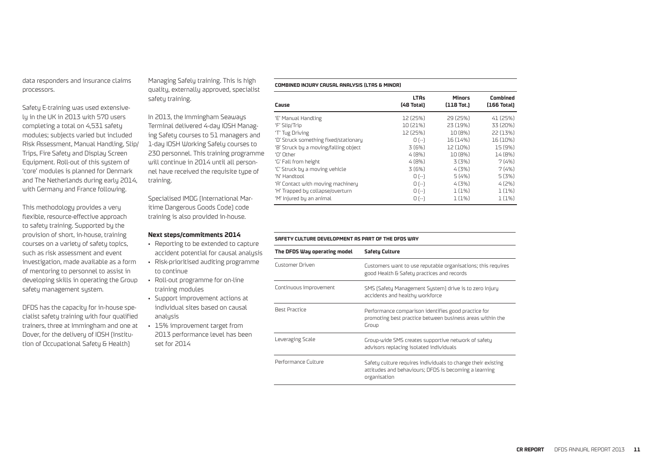data responders and insurance claims processors.

Safety E-training was used extensively in the UK in 2013 with 570 users completing a total on 4,531 safety modules; subjects varied but included Risk Assessment, Manual Handling, Slip/ Trips, Fire Safety and Display Screen Equipment. Roll-out of this system of 'core' modules is planned for Denmark and The Netherlands during early 2014, with Germany and France following.

This methodology provides a very flexible, resource-effective approach to safety training. Supported by the provision of short, in-house, training courses on a variety of safety topics, such as risk assessment and event investigation, made available as a form of mentoring to personnel to assist in developing skills in operating the Group safety management system.

DFDS has the capacity for in-house specialist safety training with four qualified trainers, three at Immingham and one at Dover, for the delivery of IOSH (Institution of Occupational Safety & Health)

Managing Safely training. This is high quality, externally approved, specialist safety training.

In 2013, the Immingham Seaways Terminal delivered 4-day IOSH Managing Safety courses to 51 managers and 1-day IOSH Working Safely courses to 230 personnel. This training programme will continue in 2014 until all personnel have received the requisite type of training.

Specialised IMDG (International Maritime Dangerous Goods Code) code training is also provided in-house.

#### **Next steps/commitments 2014**

- Reporting to be extended to capture accident potential for causal analysis
- Risk-prioritised auditing programme to continue
- Roll-out programme for on-line training modules
- Support improvement actions at individual sites based on causal analusis
- 15% improvement target from 2013 performance level has been set for 2014

#### **COMBINED INJURY CAUSAL ANALYSIS (LTAS & MINOR)**

| Cause                                 | <b>LTAs</b><br>[48 Total] | <b>Minors</b><br>$[118 \text{ Tot.}]$ | <b>Combined</b><br>(166 Total) |
|---------------------------------------|---------------------------|---------------------------------------|--------------------------------|
| 'E' Manual Handling                   | 12 (25%)                  | 29 (25%)                              | 41 (25%)                       |
| 'F' Slip/Trip                         | 10 (21%)                  | 23 (19%)                              | 33 (20%)                       |
| 'T' Tug Driving                       | 12 (25%)                  | 10 (8%)                               | 22 (13%)                       |
| 'D' Struck something fixed/stationary | $0 - 1$                   | 16 (14%)                              | 16 (10%)                       |
| 'B' Struck by a moving/falling object | 3(6%)                     | 12 (10%)                              | 15 (9%)                        |
| 'N' Other                             | 4(8%)                     | 10 (8%)                               | 14 (8%)                        |
| 'G' Fall from height                  | 4(8%)                     | 3 (3%)                                | 7(4%)                          |
| 'C' Struck by a moving vehicle        | 3(6%)                     | 4(3%)                                 | 7(4%                           |
| 'N' Handtool                          | $0$ [--]                  | 5(4%)                                 | 5(3%)                          |
| 'A' Contact with moving machinery     | $0$ [--]                  | 4(3%)                                 | 4(2%)                          |
| 'H' Trapped by collapse/overturn      | $0$ [--]                  | 1(1%)                                 | 1(1%)                          |
| 'M' Injured by an animal              | $0$ [--]                  | 1 (1%)                                | 1(1%)                          |

#### **SAFETY CULTURE DEVELOPMENT AS PART OF THE DFDS WAY**

| The DFDS Way operating model | <b>Safety Culture</b>                                                                                                                 |
|------------------------------|---------------------------------------------------------------------------------------------------------------------------------------|
| Customer Driven              | Customers want to use reputable organisations; this requires<br>good Health & Safety practices and records                            |
| Continuous Improvement       | SMS (Safety Management System) drive is to zero injury<br>accidents and healthy workforce                                             |
| <b>Rest Practice</b>         | Performance comparison identifies good practice for<br>promoting best practice between business areas within the<br>Group             |
| Leveraging Scale             | Group-wide SMS creates supportive network of safety<br>advisors replacing isolated individuals                                        |
| Performance Culture          | Safety culture requires individuals to change their existing<br>attitudes and behaviours; DFDS is becoming a learning<br>organisation |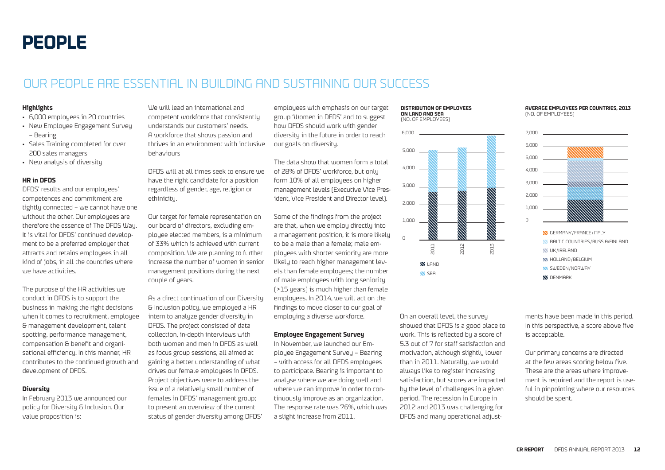### OUR PEOPLE ARE ESSENTIAL IN BUILDING AND SUSTAINING OUR SUCCESS

#### **Highlights**

- 6,000 employees in 20 countries
- New Employee Engagement Survey – Bearing
- Sales Training completed for over 200 sales managers
- New analysis of diversity

#### **HR in DFDS**

DFDS' results and our employees' competences and commitment are tightly connected – we cannot have one without the other. Our employees are therefore the essence of The DFDS Way. It is vital for DFDS' continued development to be a preferred employer that attracts and retains employees in all kind of jobs, in all the countries where we have activities.

The purpose of the HR activities we conduct in DFDS is to support the business in making the right decisions when it comes to recruitment, employee & management development, talent spotting, performance management, compensation & benefit and organisational efficiency. In this manner, HR contributes to the continued growth and development of DFDS.

#### **Diversity**

In February 2013 we announced our policy for Diversity & Inclusion. Our value proposition is:

We will lead an international and competent workforce that consistently understands our customers' needs. A workforce that shows passion and thrives in an environment with inclusive behaviours

DFDS will at all times seek to ensure we have the right candidate for a position regardless of gender, age, religion or ethinicity.

Our target for female representation on our board of directors, excluding employee elected members, is a minimum of 33% which is achieved with current composition. We are planning to further increase the number of women in senior management positions during the next couple of years.

As a direct continuation of our Diversity & Inclusion policy, we employed a HR intern to analyze gender diversity in DFDS. The project consisted of data collection, in-depth interviews with both women and men in DFDS as well as focus group sessions, all aimed at gaining a better understanding of what drives our female employees in DFDS. Project objectives were to address the issue of a relatively small number of females in DFDS' management group; to present an overview of the current status of gender diversity among DFDS'

employees with emphasis on our target group 'Women in DFDS' and to suggest how DFDS should work with gender diversity in the future in order to reach our goals on diversity.

The data show that women form a total of 28% of DFDS' workforce, but only form 10% of all employees on higher management levels (Executive Vice President, Vice President and Director level).

Some of the findings from the project are that, when we employ directly into a management position, it is more likely to be a male than a female; male employees with shorter seniority are more likely to reach higher management levels than female employees; the number of male employees with long seniority (>15 years) is much higher than female employees. In 2014, we will act on the findings to move closer to our goal of employing a diverse workforce.

#### **Employee Engagement Survey**

In November, we launched our Employee Engagement Survey – Bearing – with access for all DFDS employees to participate. Bearing is important to analyse where we are doing well and where we can improve in order to continuously improve as an organization. The response rate was 76%, which was a slight increase from 2011.

#### **DISTRIBUTION OF EMPLOYEES ON LAND AND SEA** (NO. OF EMPLOYEES)



On an overall level, the survey showed that DFDS is a good place to work. This is reflected by a score of 5.3 out of 7 for staff satisfaction and motivation, although slightly lower than in 2011. Naturally, we would always like to register increasing satisfaction, but scores are impacted by the level of challenges in a given period. The recession in Europe in 2012 and 2013 was challenging for DFDS and many operational adjust-

#### **AVERAGE EMPLOYEES PER COUNTRIES, 2013** (NO. OF EMPLOYEES)





ments have been made in this period. In this perspective, a score above five is acceptable.

Our primary concerns are directed at the few areas scoring below five. These are the areas where improvement is required and the report is useful in pinpointing where our resources should be spent.

#### **CR REPORT** DFDS ANNUAL REPORT 2013 **12**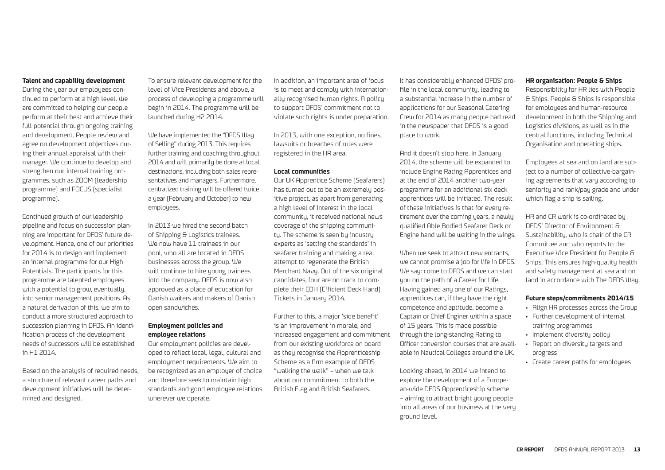#### **Talent and capability development**

During the year our employees continued to perform at a high level. We are committed to helping our people perform at their best and achieve their full potential through ongoing training and development. People review and agree on development objectives during their annual appraisal with their manager. We continue to develop and strengthen our internal training programmes, such as ZOOM (leadership programme) and FOCUS (specialist programme).

Continued growth of our leadership pipeline and focus on succession planning are important for DFDS' future development. Hence, one of our priorities for 2014 is to design and implement an internal programme for our High Potentials. The participants for this programme are talented employees with a potential to grow, eventually, into senior management positions. As a natural derivation of this, we aim to conduct a more structured approach to succession planning in DFDS. An identification process of the development needs of successors will be established in H1 2014.

Based on the analysis of required needs. a structure of relevant career paths and development initiatives will be determined and designed.

To ensure relevant development for the level of Vice Presidents and above, a process of developing a programme will begin in 2014. The programme will be launched during H2 2014.

We have implemented the "DFDS Way of Selling" during 2013. This requires further training and coaching throughout 2014 and will primarily be done at local destinations, including both sales representatives and managers. Furthermore, centralized training will be offered twice a year (February and October) to new employees.

In 2013 we hired the second batch of Shipping & Logistics trainees. We now have 11 trainees in our pool, who all are located in DFDS businesses across the group. We will continue to hire young trainees into the company. DFDS is now also approved as a place of education for Danish waiters and makers of Danish open sandwiches.

#### **Employment policies and employee relations**

Our employment policies are developed to reflect local, legal, cultural and employment requirements. We aim to be recognized as an employer of choice and therefore seek to maintain high standards and good employee relations wherever we operate.

In addition, an important area of focus is to meet and comply with internationally recognised human rights. A policy to support DFDS' commitment not to violate such rights is under preparation.

In 2013, with one exception, no fines, lawsuits or breaches of rules were registered in the HR area.

#### **Local communities**

Our UK Apprentice Scheme (Seafarers) has turned out to be an extremely positive project, as apart from generating a high level of interest in the local community, it received national news coverage of the shipping community. The scheme is seen by industry experts as 'setting the standards' in seafarer training and making a real attempt to regenerate the British Merchant Navy. Out of the six original candidates, four are on track to complete their EDH (Efficient Deck Hand) Tickets in January 2014.

Further to this, a major 'side benefit' is an improvement in morale, and increased engagement and commitment from our existing workforce on board as they recognise the Apprenticeship Scheme as a firm example of DFDS "walking the walk" – when we talk about our commitment to both the British Flag and British Seafarers.

It has considerably enhanced DFDS' profile in the local community, leading to a substantial increase in the number of applications for our Seasonal Catering Crew for 2014 as many people had read in the newspaper that DFDS is a good place to work.

And it doesn't stop here. In January 2014, the scheme will be expanded to include Engine Rating Apprentices and at the end of 2014 another two-year programme for an additional six deck apprentices will be initiated. The result of these initiatives is that for every retirement over the coming years, a newly qualified Able Bodied Seafarer Deck or Engine hand will be waiting in the wings.

When we seek to attract new entrants. we cannot promise a job for life in DFDS. We say: come to DFDS and we can start you on the path of a Career for Life. Having gained any one of our Ratings, apprentices can, if they have the right competence and aptitude, become a Captain or Chief Enginer within a space of 15 years. This is made possible through the long-standing Rating to Officer conversion courses that are available in Nautical Colleges around the UK.

Looking ahead, in 2014 we intend to explore the development of a European-wide DFDS Apprenticeship scheme – aiming to attract bright young people into all areas of our business at the very ground level.

#### **HR organisation: People & Ships**

Responsibility for HR lies with People & Ships. People & Ships is responsible for employees and human-resource development in both the Shipping and Logistics divisions, as well as in the central functions, including Technical Organisation and operating ships.

Employees at sea and on land are subject to a number of collective-bargaining agreements that vary according to seniority and rank/pay grade and under which flag a ship is sailing.

HR and CR work is co-ordinated by DFDS' Director of Environment & Sustainability, who is chair of the CR Committee and who reports to the Executive Vice President for People & Ships. This ensures high-quality health and safety management at sea and on land in accordance with The DFDS Way.

#### **Future steps/commitments 2014/15**

- Align HR processes across the Group
- Further development of internal training programmes
- Implement diversity policy
- Report on diversity targets and progress
- Create career paths for employees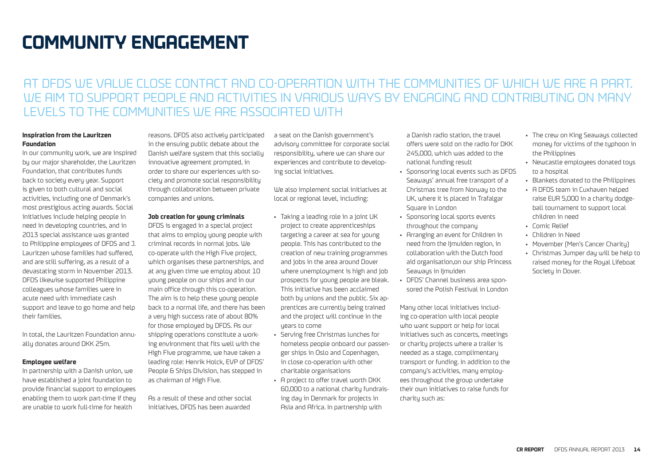## **COMMUNITY ENGAGEMENT**

### AT DFDS WE VALUE CLOSE CONTACT AND CO-OPERATION WITH THE COMMUNITIES OF WHICH WE ARE A PART. WE AIM TO SUPPORT PEOPLE AND ACTIVITIES IN VARIOUS WAYS BY ENGAGING AND CONTRIBUTING ON MANY LEVELS TO THE COMMUNITIES WE ARE ASSOCIATED WITH

#### **Inspiration from the Lauritzen Foundation**

In our community work, we are inspired by our major shareholder, the Lauritzen Foundation, that contributes funds back to society every year. Support is given to both cultural and social activities, including one of Denmark's most prestigious acting awards. Social initiatives include helping people in need in developing countries, and in 2013 special assistance was granted to Philippine employees of DFDS and J. Lauritzen whose families had suffered, and are still suffering, as a result of a devastating storm in November 2013. DFDS likewise supported Philippine colleagues whose families were in acute need with immediate cash support and leave to go home and help their families.

In total, the Lauritzen Foundation annually donates around DKK 25m.

#### **Employee welfare**

In partnership with a Danish union, we have established a joint foundation to provide financial support to employees enabling them to work part-time if they are unable to work full-time for health

reasons. DFDS also actively participated in the ensuing public debate about the Danish welfare system that this socially innovative agreement prompted, in order to share our experiences with society and promote social responsibility through collaboration between private companies and unions.

#### **Job creation for young criminals**

DFDS is engaged in a special project that aims to employ young people with criminal records in normal jobs. We co-operate with the High Five project, which organises these partnerships, and at any given time we employ about 10 young people on our ships and in our main office through this co-operation. The aim is to help these young people back to a normal life, and there has been a very high success rate of about 80% for those employed by DFDS. As our shipping operations constitute a working environment that fits well with the High Five programme, we have taken a leading role: Henrik Holck, EVP of DFDS' People & Ships Division, has stepped in as chairman of High Five.

As a result of these and other social initiatives, DFDS has been awarded

a seat on the Danish government's advisory committee for corporate social responsibility, where we can share our experiences and contribute to developing social initiatives.

We also implement social initiatives at local or regional level, including:

- Taking a leading role in a joint UK project to create apprenticeships targeting a career at sea for young people. This has contributed to the creation of new training programmes and jobs in the area around Dover where unemployment is high and job prospects for young people are bleak. This initiative has been acclaimed both by unions and the public. Six apprentices are currently being trained and the project will continue in the years to come
- Serving free Christmas lunches for homeless people onboard our passenger ships in Oslo and Copenhagen, in close co-operation with other charitable organisations
- A project to offer travel worth DKK 60,000 to a national charity fundraising day in Denmark for projects in Asia and Africa. In partnership with

a Danish radio station, the travel offers were sold on the radio for DKK 245,000, which was added to the national funding result

- Sponsoring local events such as DFDS Seaways' annual free transport of a Christmas tree from Norway to the UK, where it is placed in Trafalgar Square in London
- Sponsoring local sports events throughout the company
- Arranging an event for Children in need from the Ijmuiden region, in collaboration with the Dutch food aid organisation,on our ship Princess Seaways in limuiden
- DFDS' Channel business area sponsored the Polish Festival in London

Many other local initiatives including co-operation with local people who want support or help for local initiatives such as concerts, meetings or charity projects where a trailer is needed as a stage, complimentary transport or funding. In addition to the company's activities, many employees throughout the group undertake their own initiatives to raise funds for charity such as:

- The crew on King Seaways collected money for victims of the typhoon in the Philippines
- Newcastle employees donated toys to a hospital
- Blankets donated to the Philippines
- A DFDS team in Cuxhaven helped raise EUR 5,000 in a charity dodgeball tournament to support local children in need
- Comic Relief
- Children in Need
- Movember (Men's Cancer Charitu)
- Christmas Jumper day will be help to raised money for the Royal Lifeboat Society in Dover.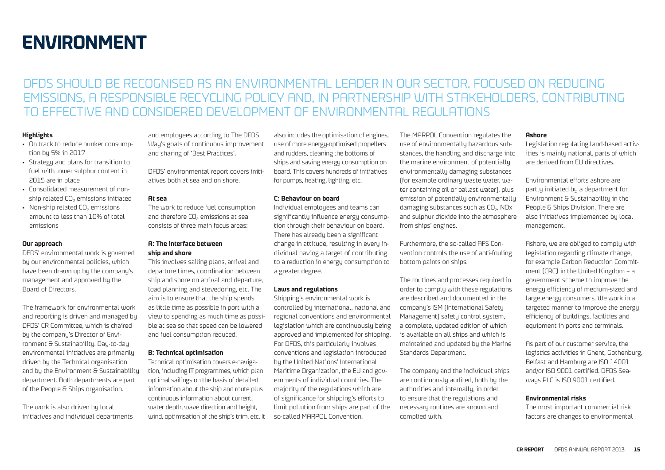## **ENVIRONMENT**

### DFDS SHOULD BE RECOGNISED AS AN ENVIRONMENTAL LEADER IN OUR SECTOR. FOCUSED ON REDUCING EMISSIONS, A RESPONSIBLE RECYCLING POLICY AND, IN PARTNERSHIP WITH STAKEHOLDERS, CONTRIBUTING TO EFFECTIVE AND CONSIDERED DEVELOPMENT OF ENVIRONMENTAL REGULATIONS

#### **Highlights**

- On track to reduce bunker consumption by 5% in 2017
- Strategy and plans for transition to fuel with lower sulphur content in 2015 are in place
- Consolidated measurement of nonship related CO<sub>2</sub> emissions initiated
- Non-ship related CO<sub>2</sub> emissions amount to less than 10% of total emissions

#### **Our approach**

DFDS' environmental work is governed by our environmental policies, which have been drawn up by the company's management and approved by the Board of Directors.

The framework for environmental work and reporting is driven and managed by DFDS' CR Committee, which is chaired by the company's Director of Environment & Sustainability. Day-to-day environmental initiatives are primarily driven by the Technical organisation and by the Environment & Sustainability department. Both departments are part of the People & Ships organisation.

The work is also driven by local initiatives and individual departments and employees according to The DFDS Way's goals of continuous improvement and sharing of 'Best Practices'.

DFDS' environmental report covers initiatives both at sea and on shore.

#### **At sea**

The work to reduce fuel consumption and therefore CO<sub>2</sub> emissions at sea consists of three main focus areas:

#### **A: The interface between ship and shore**

This involves sailing plans, arrival and departure times, coordination between ship and shore on arrival and departure, load planning and stevedoring, etc. The aim is to ensure that the ship spends as little time as possible in port with a view to spending as much time as possible at sea so that speed can be lowered and fuel consumption reduced.

#### **B: Technical optimisation**

Technical optimisation covers e-navigation, including IT programmes, which plan optimal sailings on the basis of detailed information about the ship and route plus continuous information about current, water depth, wave direction and height, wind, optimisation of the ship's trim, etc. It also includes the optimisation of engines, use of more energy-optimised propellers and rudders, cleaning the bottoms of ships and saving energy consumption on board. This covers hundreds of initiatives for pumps, heating, lighting, etc.

#### **C: Behaviour on board**

Individual employees and teams can significantly influence energy consumption through their behaviour on board. There has already been a significant change in attitude, resulting in every individual having a target of contributing to a reduction in energy consumption to a greater degree.

#### **Laws and regulations**

Shipping's environmental work is controlled by international, national and regional conventions and environmental legislation which are continuously being approved and implemented for shipping. For DFDS, this particularly involves conventions and legislation introduced by the United Nations' International Maritime Organization, the EU and governments of individual countries. The majority of the regulations which are of significance for shipping's efforts to limit pollution from ships are part of the so-called MARPOL Convention.

The MARPOL Convention regulates the use of environmentally hazardous substances, the handling and discharge into the marine environment of potentially environmentally damaging substances (for example ordinary waste water, water containing oil or ballast water), plus emission of potentially environmentally damaging substances such as CO<sub>2</sub>, NO<sub>x</sub> and sulphur dioxide into the atmosphere from ships' engines.

Furthermore, the so-called AFS Convention controls the use of anti-fouling bottom paints on ships.

The routines and processes required in order to comply with these regulations are described and documented in the company's ISM (International Safety Management) safety control system, a complete, updated edition of which is available on all ships and which is maintained and updated by the Marine Standards Department.

The company and the individual ships are continuously audited, both by the authorities and internally, in order to ensure that the regulations and necessary routines are known and complied with.

#### **Ashore**

Legislation regulating land-based activities is mainly national, parts of which are derived from EU directives.

Environmental efforts ashore are partly initiated by a department for Environment & Sustainability in the People & Ships Division. There are also initiatives implemented by local management.

Ashore, we are obliged to comply with legislation regarding climate change, for example Carbon Reduction Commitment (CRC) in the United Kingdom – a government scheme to improve the energy efficiency of medium-sized and large energy consumers. We work in a targeted manner to improve the energy efficiency of buildings, facilities and equipment in ports and terminals.

As part of our customer service, the logistics activities in Ghent, Gothenburg, Belfast and Hamburg are ISO 14001 and/or ISO 9001 certified. DFDS Seaways PLC is ISO 9001 certified.

#### **Environmental risks**

The most important commercial risk factors are changes to environmental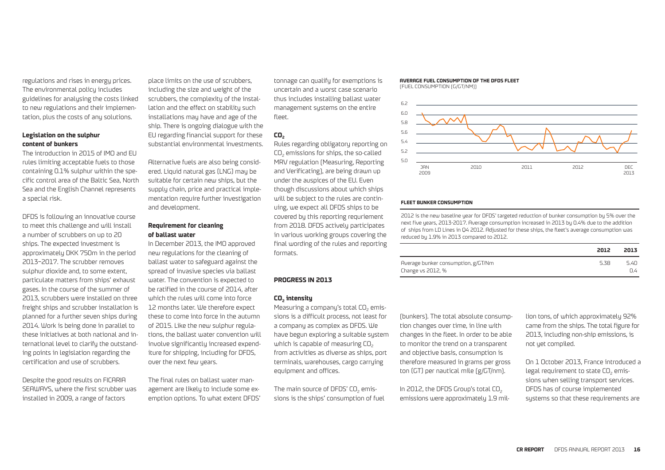regulations and rises in energy prices. The environmental policy includes guidelines for analysing the costs linked to new regulations and their implementation, plus the costs of any solutions.

#### **Legislation on the sulphur content of bunkers**

The introduction in 2015 of IMO and EU rules limiting acceptable fuels to those containing 0.1% sulphur within the specific control area of the Baltic Sea, North Sea and the English Channel represents a special risk.

DFDS is following an innovative course to meet this challenge and will install a number of scrubbers on up to 20 ships. The expected investment is approximately DKK 750m in the period 2013–2017. The scrubber removes sulphur dioxide and, to some extent, particulate matters from ships' exhaust gases. In the course of the summer of 2013, scrubbers were installed on three freight ships and scrubber installation is planned for a further seven ships during 2014. Work is being done in parallel to these initiatives at both national and international level to clarify the outstanding points in legislation regarding the certification and use of scrubbers.

Despite the good results on FICARIA SEAWAYS, where the first scrubber was installed in 2009, a range of factors

place limits on the use of scrubbers, including the size and weight of the scrubbers, the complexity of the installation and the effect on stability such installations may have and age of the ship. There is ongoing dialogue with the EU regarding financial support for these substantial environmental investments.

Alternative fuels are also being considered. Liquid natural gas (LNG) may be suitable for certain new ships, but the supply chain, price and practical implementation require further investigation and development.

#### **Requirement for cleaning of ballast water**

In December 2013, the IMO approved new regulations for the cleaning of ballast water to safeguard against the spread of invasive species via ballast water. The convention is expected to be ratified in the course of 2014, after which the rules will come into force 12 months later. We therefore expect these to come into force in the autumn of 2015. Like the new sulphur regulations, the ballast water convention will involve significantly increased expenditure for shipping, including for DFDS, over the next few years.

The final rules on ballast water management are likely to include some exemption options. To what extent DFDS' tonnage can qualify for exemptions is uncertain and a worst case scenario thus includes installing ballast water management systems on the entire fleet.

#### **CO2**

Rules regarding obligatory reporting on CO<sub>2</sub> emissions for ships, the so-called MRV regulation (Measuring, Reporting and Verificating), are being drawn up under the auspices of the EU. Even though discussions about which ships will be subject to the rules are continuing, we expect all DFDS ships to be covered by this reporting requriement from 2018. DFDS actively participates in various working groups covering the final wording of the rules and reporting formats.

#### **PROGRESS IN 2013**

#### **CO2 intensity**

Measuring a company's total  $CO<sub>2</sub>$  emissions is a difficult process, not least for a company as complex as DFDS. We have begun exploring a suitable system which is capable of measuring  $CO<sub>2</sub>$ from activities as diverse as ships, port terminals, warehouses, cargo carrying equipment and offices.

The main source of DFDS' CO<sub>2</sub> emissions is the ships' consumption of fuel **AVERAGE FUEL CONSUMPTION OF THE DFDS FLEET**

(FUEL CONSUMPTION (G/GT/NM))



#### **FLEET BUNKER CONSUMPTION**

2012 is the new baseline year for DFDS' targeted reduction of bunker consumption by 5% over the next five years, 2013-2017. Average consumption increased in 2013 by 0.4% due to the addition of ships from LD Lines in Q4 2012. Adjusted for these ships, the fleet's average consumption was reduced by 1.9% in 2013 compared to 2012.

|                                     | 2012 | 2013 |
|-------------------------------------|------|------|
| Average bunker consumption, g/GT/Nm | 5.38 | 5.40 |
| Change vs 2012, %                   |      | 0.4  |

(bunkers). The total absolute consumption changes over time, in line with changes in the fleet. In order to be able to monitor the trend on a transparent and objective basis, consumption is therefore measured in grams per gross ton (GT) per nautical mile (g/GT/nm).

In 2012, the DFDS Group's total  $CO<sub>2</sub>$ emissions were approximately 1.9 million tons, of which approximately 92% came from the ships. The total figure for 2013, including non-ship emissions, is not yet compiled.

On 1 October 2013, France introduced a legal requirement to state CO<sub>2</sub> emissions when selling transport services. DFDS has of course implemented systems so that these requirements are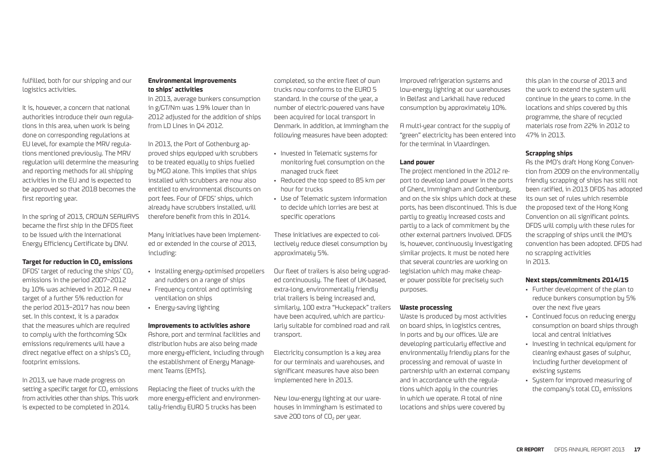fulfilled, both for our shipping and our logistics activities.

It is, however, a concern that national authorities introduce their own regulations in this area, when work is being done on corresponding regulations at EU level, for example the MRV regulations mentioned previously. The MRV regulation will determine the measuring and reporting methods for all shipping activities in the EU and is expected to be approved so that 2018 becomes the first reporting year.

In the spring of 2013, CROWN SEAWAYS became the first ship in the DFDS fleet to be issued with the International Energy Efficiency Certificate by DNV.

#### **Target for reduction in CO<sub>2</sub> emissions**

DFDS' target of reducing the ships' CO<sub>2</sub> emissions in the period 2007–2012 by 10% was achieved in 2012. A new target of a further 5% reduction for the period 2013–2017 has now been set. In this context, it is a paradox that the measures which are required to comply with the forthcoming SOx emissions requirements will have a direct negative effect on a ships's CO<sub>2</sub> footprint emissions.

In 2013, we have made progress on setting a specific target for CO<sub>2</sub> emissions from activities other than ships. This work is expected to be completed in 2014.

#### **Environmental improvements to ships' activities**

In 2013, average bunkers consumption in g/GT/Nm was 1.9% lower than in 2012 adjusted for the addition of ships from LD Lines in Q4 2012.

In 2013, the Port of Gothenburg approved ships equipped with scrubbers to be treated equally to ships fuelled by MGO alone. This implies that ships installed with scrubbers are now also entitled to environmental discounts on port fees. Four of DFDS' ships, which already have scrubbers installed, will therefore benefit from this in 2014.

Many initiatives have been implemented or extended in the course of 2013, including:

- Installing energy-optimised propellers and rudders on a range of ships
- Frequency control and optimising ventilation on ships
- Energy-saving lighting

#### **Improvements to activities ashore**

Ashore, port and terminal facilities and distribution hubs are also being made more energy-efficient, including through the establishment of Energy Management Teams (EMTs).

Replacing the fleet of trucks with the more energy-efficient and environmentally-friendly EURO 5 trucks has been

completed, so the entire fleet of own trucks now conforms to the EURO 5 standard. In the course of the year, a number of electric-powered vans have been acquired for local transport in Denmark. In addition, at Immingham the following measures have been adopted:

- Invested in Telematic systems for monitoring fuel consumption on the managed truck fleet
- Reduced the top speed to 85 km per hour for trucks
- Use of Telematic sustem information to decide which lorries are best at specific operations

These initiatives are expected to collectively reduce diesel consumption by approximately 5%.

Our fleet of trailers is also being upgraded continuously. The fleet of UK-based, extra-long, environmentally friendly trial trailers is being increased and, similarly, 100 extra "Huckepack" trailers have been acquired, which are particularly suitable for combined road and rail transport.

Electricity consumption is a key area for our terminals and warehouses, and significant measures have also been implemented here in 2013.

New low-energy lighting at our warehouses in Immingham is estimated to save 200 tons of CO<sub>2</sub> per year.

Improved refrigeration systems and low-energy lighting at our warehouses in Belfast and Larkhall have reduced consumption by approximately 10%.

A multi-year contract for the supply of "green" electricity has been entered into for the terminal in Vlaardingen.

#### **Land power**

The project mentioned in the 2012 report to develop land power in the ports of Ghent, Immingham and Gothenburg, and on the six ships which dock at these ports, has been discontinued. This is due partly to greatly increased costs and partly to a lack of commitment by the other external partners involved. DFDS is, however, continuously investigating similar projects. It must be noted here that several countries are working on legislation which may make cheaper power possible for precisely such purposes.

#### **Waste processing**

Waste is produced by most activities on board ships, in logistics centres, in ports and by our offices. We are developing particularly effective and environmentally friendly plans for the processing and removal of waste in partnership with an external company and in accordance with the regulations which apply in the countries in which we operate. A total of nine locations and ships were covered by

this plan in the course of 2013 and the work to extend the system will continue in the years to come. In the locations and ships covered by this programme, the share of recycled materials rose from 22% in 2012 to 47% in 2013.

#### **Scrapping ships**

As the IMO's draft Hong Kong Convention from 2009 on the environmentally friendly scrapping of ships has still not been ratified, in 2013 DFDS has adopted its own set of rules which resemble the proposed text of the Hong Kong Convention on all significant points. DFDS will comply with these rules for the scrapping of ships until the IMO's convention has been adopted. DFDS had no scrapping activities in 2013.

#### **Next steps/commitments 2014/15**

- Further development of the plan to reduce bunkers consumption by 5% over the next five years
- Continued focus on reducing energy consumption on board ships through local and central initiatives
- Investing in technical equipment for cleaning exhaust gases of sulphur, including further development of existing systems
- System for improved measuring of the company's total CO<sub>2</sub> emissions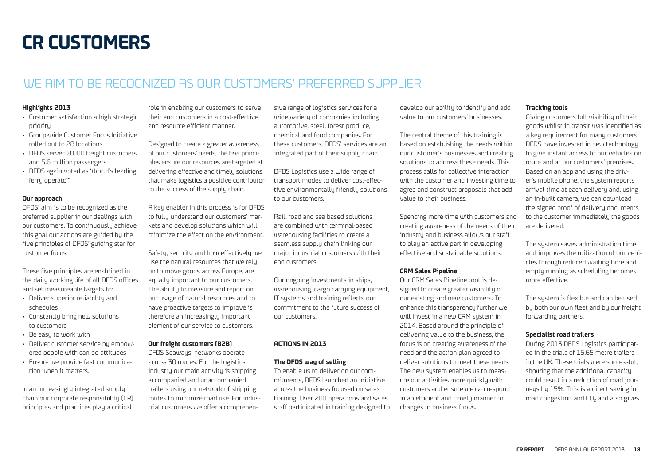## **CR CUSTOMERS**

### WE AIM TO BE RECOGNIZED AS OUR CUSTOMERS' PREFERRED SUPPLIER

#### **Highlights 2013**

- Customer satisfaction a high strategic priority
- Group-wide Customer Focus Initiative rolled out to 28 locations
- DFDS served 8,000 freight customers and 5.6 million passengers
- DFDS again voted as 'World's leading ferry operato'"

#### **Our approach**

DFDS' aim is to be recognized as the preferred supplier in our dealings with our customers. To continuously achieve this goal our actions are guided by the five principles of DFDS' guiding star for customer focus.

These five principles are enshrined in the daily working life of all DFDS offices and set measureable targets to:

- Deliver superior reliability and schedules
- Constantly bring new solutions to customers
- Be easy to work with
- Deliver customer service by empowered people with can-do attitudes
- Ensure we provide fast communication when it matters.

In an increasingly integrated supply chain our corporate responsibility (CR) principles and practices play a critical

role in enabling our customers to serve their end customers in a cost-effective and resource efficient manner.

Designed to create a greater awareness of our customers' needs, the five principles ensure our resources are targeted at delivering effective and timely solutions that make logistics a positive contributor to the success of the supply chain.

A key enabler in this process is for DFDS to fully understand our customers' markets and develop solutions which will minimize the effect on the environment.

Safety, security and how effectively we use the natural resources that we rely on to move goods across Europe, are equally important to our customers. The ability to measure and report on our usage of natural resources and to have proactive targets to improve is therefore an increasingly important element of our service to customers.

#### **Our freight customers (B2B)**

DFDS Seaways' networks operate across 30 routes. For the logistics industry our main activity is shipping accompanied and unaccompanied trailers using our network of shipping routes to minimize road use. For industrial customers we offer a comprehensive range of logistics services for a wide variety of companies including automotive, steel, forest produce, chemical and food companies. For these customers, DFDS' services are an integrated part of their supply chain.

DFDS Logistics use a wide range of transport modes to deliver cost-effective environmentally friendly solutions to our customers.

Rail, road and sea based solutions are combined with terminal-based warehousing facilities to create a seamless supply chain linking our major industrial customers with their end customers.

Our ongoing investments in ships, warehousing, cargo carrying equipment, IT systems and training reflects our commitment to the future success of our customers.

#### **ACTIONS IN 2013**

#### **The DFDS way of selling**

To enable us to deliver on our commitments, DFDS launched an initiative across the business focused on sales training. Over 200 operations and sales staff participated in training designed to develop our ability to identify and add value to our customers' businesses.

The central theme of this training is based on establishing the needs within our customer's businesses and creating solutions to address these needs. This process calls for collective interaction with the customer and investing time to agree and construct proposals that add value to their business.

Spending more time with customers and creating awareness of the needs of their industry and business allows our staff to play an active part in developing effective and sustainable solutions.

#### **CRM Sales Pipeline**

Our CRM Sales Pipeline tool is designed to create greater visibility of our existing and new customers. To enhance this transparency further we will invest in a new CRM sustem in 2014. Based around the principle of delivering value to the business, the focus is on creating awareness of the need and the action plan agreed to deliver solutions to meet these needs. The new system enables us to measure our activities more quickly with customers and ensure we can respond in an efficient and timely manner to changes in business flows.

#### **Tracking tools**

Giving customers full visibility of their goods whilst in transit was identified as a key requirement for many customers. DFDS have invested in new technology to give instant access to our vehicles on route and at our customers' premises. Based on an app and using the driver's mobile phone, the system reports arrival time at each delivery and, using an in-built camera, we can download the signed proof of delivery documents to the customer immediately the goods are delivered.

The sustem saves administration time and improves the utilization of our vehicles through reduced waiting time and empty running as scheduling becomes more effective.

The sustem is flexible and can be used by both our own fleet and by our freight forwarding partners.

#### **Specialist road trailers**

During 2013 DFDS Logistics participated in the trials of 15.65 metre trailers in the UK. These trials were successful, showing that the additional capacity could result in a reduction of road journeys by 15%. This is a direct saving in road congestion and CO<sub>2</sub> and also gives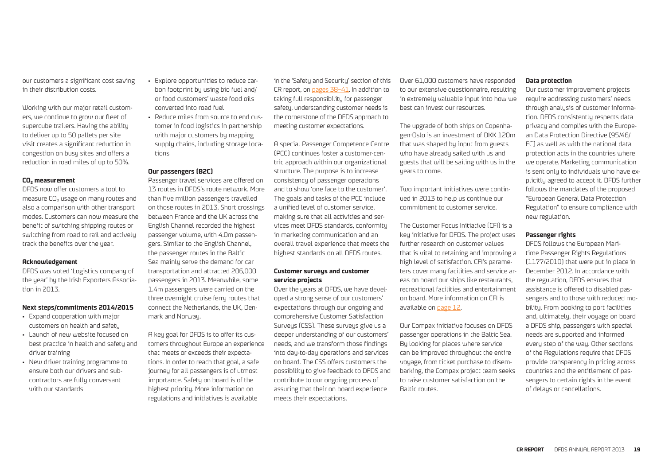our customers a significant cost saving in their distribution costs.

Working with our major retail customers, we continue to grow our fleet of supercube trailers. Having the ability to deliver up to 50 pallets per site visit creates a significant reduction in congestion on busy sites and offers a reduction in road miles of up to 50%.

#### **CO2 measurement**

DFDS now offer customers a tool to measure CO<sub>2</sub> usage on many routes and also a comparison with other transport modes. Customers can now measure the benefit of switching shipping routes or switching from road to rail and actively track the benefits over the year.

#### **Acknowledgement**

DFDS was voted 'Logistics company of the year' by the Irish Exporters Association in 2013.

#### **Next steps/commitments 2014/2015**

- Expand cooperation with major customers on health and safety
- Launch of new website focused on best practice in health and safety and driver training
- New driver training programme to ensure both our drivers and subcontractors are fully conversant with our standards
- Explore opportunities to reduce carbon footprint by using bio fuel and/ or food customers' waste food oils converted into road fuel
- Reduce miles from source to end customer in food logistics in partnership with major customers by mapping supply chains, including storage locations

#### **Our passengers (B2C)**

Passenger travel services are offered on 13 routes in DFDS's route network. More than five million passengers travelled on those routes in 2013. Short crossings between France and the UK across the English Channel recorded the highest passenger volume, with 4.0m passengers. Similar to the English Channel, the passenger routes in the Baltic Sea mainly serve the demand for car transportation and attracted 206,000 passengers in 2013. Meanwhile, some 1.4m passengers were carried on the three overnight cruise ferry routes that connect the Netherlands, the UK, Denmark and Norway.

A key goal for DFDS is to offer its customers throughout Europe an experience that meets or exceeds their expectations. In order to reach that goal, a safe journey for all passengers is of utmost importance. Safety on board is of the highest priority. More information on regulations and initiatives is available

in the 'Safety and Security' section of this CR report, on pages 38–41. In addition to taking full responsibility for passenger safety, understanding customer needs is the cornerstone of the DFDS approach to meeting customer expectations.

A special Passenger Competence Centre (PCC) continues foster a customer-centric approach within our organizational structure. The purpose is to increase consistency of passenger operations and to show 'one face to the customer'. The goals and tasks of the PCC include a unified level of customer service, making sure that all activities and services meet DFDS standards, conformity in marketing communication and an overall travel experience that meets the highest standards on all DFDS routes.

#### **Customer surveys and customer service projects**

Over the years at DFDS, we have developed a strong sense of our customers' expectations through our ongoing and comprehensive Customer Satisfaction Surveys (CSS). These surveys give us a deeper understanding of our customers' needs, and we transform those findings into day-to-day operations and services on board. The CSS offers customers the possibility to give feedback to DFDS and contribute to our ongoing process of assuring that their on board experience meets their expectations.

Over 61,000 customers have responded to our extensive questionnaire, resulting in extremely valuable input into how we best can invest our resources.

The upgrade of both ships on Copenhagen-Oslo is an investment of DKK 120m that was shaped by input from guests who have already sailed with us and guests that will be sailing with us in the years to come.

Two important initiatives were continued in 2013 to help us continue our commitment to customer service.

The Customer Focus Initiative (CFI) is a key initiative for DFDS. The project uses further research on customer values that is vital to retaining and improving a high level of satisfaction. CFI's parameters cover many facilities and service areas on board our ships like restaurants, recreational facilities and entertainment on board. More information on CFI is available on page 12.

Our Compax initiative focuses on DFDS passenger operations in the Baltic Sea. By looking for places where service can be improved throughout the entire voyage, from ticket purchase to disembarking, the Compax project team seeks to raise customer satisfaction on the Baltic routes.

#### **Data protection**

Our customer improvement projects require addressing customers' needs through analysis of customer information. DFDS consistently respects data privacy and complies with the European Data Protection Directive (95/46/ EC) as well as with the national data protection acts in the countries where we operate. Marketing communication is sent only to individuals who have explicitly agreed to accept it. DFDS further follows the mandates of the proposed "European General Data Protection Regulation" to ensure compliance with new regulation.

#### **Passenger rights**

DFDS follows the European Maritime Passenger Rights Regulations (1177/2010) that were put in place in December 2012. In accordance with the regulation, DFDS ensures that assistance is offered to disabled passengers and to those with reduced mobility. From booking to port facilities and, ultimately, their voyage on board a DFDS ship, passengers with special needs are supported and informed every step of the way. Other sections of the Regulations require that DFDS provide transparency in pricing across countries and the entitlement of passengers to certain rights in the event of delays or cancellations.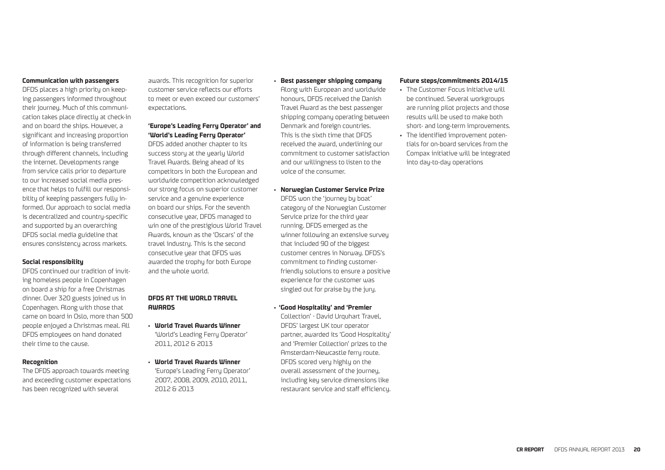#### **Communication with passengers**

DFDS places a high priority on keeping passengers informed throughout their journey. Much of this communication takes place directly at check-in and on board the ships. However, a significant and increasing proportion of information is being transferred through different channels, including the internet. Developments range from service calls prior to departure to our increased social media presence that helps to fulfill our responsibility of keeping passengers fully informed. Our approach to social media is decentralized and country-specific and supported by an overarching DFDS social media guideline that ensures consistency across markets.

#### **Social responsibility**

DFDS continued our tradition of inviting homeless people in Copenhagen on board a ship for a free Christmas dinner. Over 320 guests joined us in Copenhagen. Along with those that came on board in Oslo, more than 500 people enjoyed a Christmas meal. All DFDS employees on hand donated their time to the cause.

#### **Recognition**

The DFDS approach towards meeting and exceeding customer expectations has been recognized with several

awards. This recognition for superior customer service reflects our efforts to meet or even exceed our customers' expectations.

#### **'Europe's Leading Ferry Operator' and 'World's Leading Ferry Operator'**

DFDS added another chapter to its success story at the yearly World Travel Awards. Being ahead of its competitors in both the European and worldwide competition acknowledged our strong focus on superior customer service and a genuine experience on board our ships. For the seventh consecutive year, DFDS managed to win one of the prestigious World Travel Awards, known as the 'Oscars' of the travel industry. This is the second consecutive year that DFDS was awarded the trophy for both Europe and the whole world.

#### **DFDS AT THE WORLD TRAVEL AWARDS**

- **World Travel Awards Winner** 'World's Leading Ferry Operator' 2011, 2012 & 2013
- **World Travel Awards Winner** 'Europe's Leading Ferry Operator' 2007, 2008, 2009, 2010, 2011, 2012 & 2013

• **Best passenger shipping company**

Along with European and worldwide honours, DFDS received the Danish Travel Award as the best passenger shipping company operating between Denmark and foreign countries. This is the sixth time that DFDS received the award, underlining our commitment to customer satisfaction and our willingness to listen to the voice of the consumer.

**• Norwegian Customer Service Prize**

DFDS won the 'journey by boat' category of the Norwegian Customer Service prize for the third year running. DFDS emerged as the winner following an extensive survey that included 90 of the biggest customer centres in Norway. DFDS's commitment to finding customerfriendly solutions to ensure a positive experience for the customer was singled out for praise by the jury.

**• 'Good Hospitality' and 'Premier**

Collection' - David Urquhart Travel, DFDS' largest UK tour operator partner, awarded its 'Good Hospitality' and 'Premier Collection' prizes to the Amsterdam-Newcastle ferry route. DFDS scored very highly on the overall assessment of the journey, including key service dimensions like restaurant service and staff efficiency.

#### **Future steps/commitments 2014/15**

• The Customer Focus Initiative will be continued. Several workgroups are running pilot projects and those results will be used to make both short- and long-term improvements. • The identified improvement potentials for on-board services from the Compax initiative will be integrated into day-to-day operations